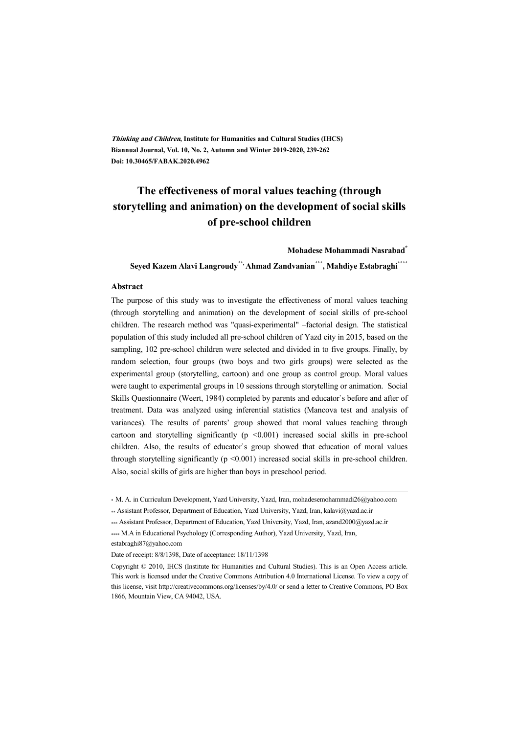**Thinking and Children, Institute for Humanities and Cultural Studies (IHCS) Biannual Journal, Vol. 10, No. 2, Autumn and Winter 2019-2020, 239-262 Doi: 10.30465/FABAK.2020.4962** 

# **The effectiveness of moral values teaching (through storytelling and animation) on the development of social skills of pre-school children**

**Mohadese Mohammadi Nasrabad\***

**Seyed Kazem Alavi Langroudy\*\*, Ahmad Zandvanian\*\*\*, Mahdiye Estabraghi\*\*\*\*** 

#### **Abstract**

The purpose of this study was to investigate the effectiveness of moral values teaching (through storytelling and animation) on the development of social skills of pre-school children. The research method was "quasi-experimental" –factorial design. The statistical population of this study included all pre-school children of Yazd city in 2015, based on the sampling, 102 pre-school children were selected and divided in to five groups. Finally, by random selection, four groups (two boys and two girls groups) were selected as the experimental group (storytelling, cartoon) and one group as control group. Moral values were taught to experimental groups in 10 sessions through storytelling or animation. Social Skills Questionnaire (Weert, 1984) completed by parents and educator`s before and after of treatment. Data was analyzed using inferential statistics (Mancova test and analysis of variances). The results of parents' group showed that moral values teaching through cartoon and storytelling significantly  $(p \le 0.001)$  increased social skills in pre-school children. Also, the results of educator`s group showed that education of moral values through storytelling significantly  $(p \le 0.001)$  increased social skills in pre-school children. Also, social skills of girls are higher than boys in preschool period.

:

<sup>\*</sup> M. A. in Curriculum Development, Yazd University, Yazd, Iran, mohadesemohammadi26@yahoo.com

<sup>\*\*</sup> Assistant Professor, Department of Education, Yazd University, Yazd, Iran, kalavi@yazd.ac.ir

<sup>\*\*\*</sup> Assistant Professor, Department of Education, Yazd University, Yazd, Iran, azand2000@yazd.ac.ir

<sup>\*\*\*\*</sup> M.A in Educational Psychology (Corresponding Author), Yazd University, Yazd, Iran, estabraghi87@yahoo.com

Date of receipt: 8/8/1398, Date of acceptance: 18/11/1398

Copyright © 2010, IHCS (Institute for Humanities and Cultural Studies). This is an Open Access article. This work is licensed under the Creative Commons Attribution 4.0 International License. To view a copy of this license, visit http://creativecommons.org/licenses/by/4.0/ or send a letter to Creative Commons, PO Box 1866, Mountain View, CA 94042, USA.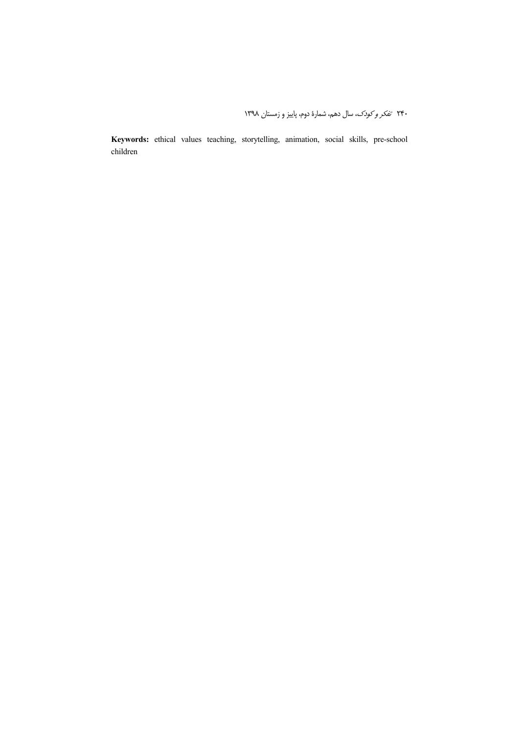Keywords: ethical values teaching, storytelling, animation, social skills, pre-school children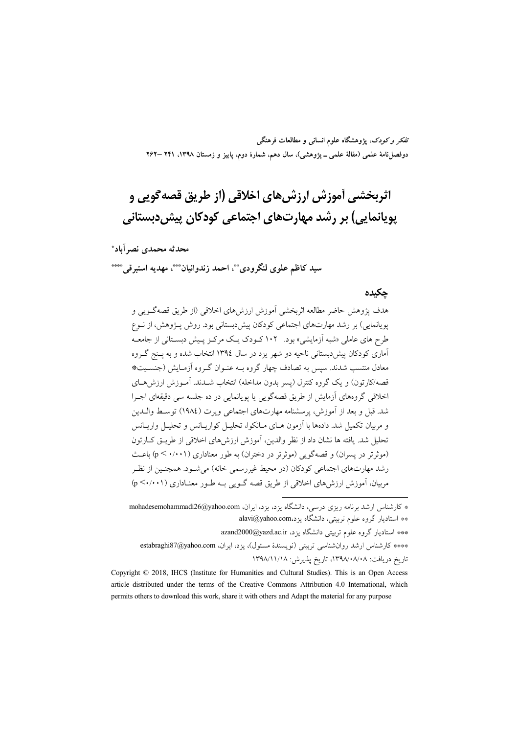تفکر و کودک، یژوهشگاه علوم انسانی و مطالعات فرهنگی دوفصلنامهٔ علمی (مقالهٔ علمی ــ پژوهشی)، سال دهم، شمارهٔ دوم، پاییز و زمستان ۱۳۹۸، ۲۶۱ –۲۶۲

# اثربخشي أموزش ارزش هاي اخلاقي (از طريق قصه گويي و یویانمایی) بر رشد مهارتهای اجتماعی کودکان پیش دبستانی

### محدثه محمدي نصر آباد\*

### سيد كاظم علوى لنگرودي\*\*، احمد زندوانيان\*\*\*، مهديه استبرقي\*\*\*\*

#### حكىدە

هدف پژوهش حاضر مطالعه اثربخشی آموزش ارزشهای اخلاقی (از طریق قصهگـویی و یوپانمایی) بر رشد مهارتهای اجتماعی کودکان پیش دبستانی بود. روش پـژوهش، از نـوع طرح های عاملی «شبه آزمایشی» بود. ۱۰۲ کـودک یـک مرکـز پـیش دبسـتانی از جامعـه آماري کو دکان پيش دبستاني ناحيه دو شهر يزد در سال ١٣٩٤ انتخاب شده و به پــنج گــروه معادل منتسب شدند. سپس به تصادف چهار گروه بـه عنـوان گـروه آزمـایش (جنسـیت\* قصه/کارتون) و یک گروه کنترل (پسر بدون مداخله) انتخاب شــدند. آمــوزش ارزش هــای اخلاقی گروههای آزمایش از طریق قصهگویی یا یوپانمایی در ده جلسه سی دقیقهای اجـرا شد. قبل و بعد از آموزش، پرسشنامه مهارتهای اجتماعی ویرت (١٩٨٤) توسط والـدين و مربیان تکمیل شد. دادهها با آزمون هـای مـانکوا، تحلیـا , کواریـانس و تحلیـا , واریـانس تحليل شد. يافته ها نشان داد از نظر والدين، آموزش ارزش هاي اخلاقي از طريــق كــارتون (موثرتر در پسران) و قصهگویی (موثرتر در دختران) به طور معناداری (p < ۰/۰۰۱) باعث رشد مهارتهای اجتماعی کودکان (در محیط غیررسمی خانه) می شـود. همچنـین از نظـر مربیان، آموزش ارزش های اخلاقی از طریق قصه گــویی بــه طــور معنــاداری (۱۰۰۱/۰)

\* کارشناس ارشد برنامه ریزی درسی، دانشگاه یزد، یزد، ایران، mohadesemohammadi26@yahoo.com \*\* استادیار گروه علوم تربیتی، دانشگاه یزد،alavi@yahoo.com \*\*\* استادیار گروه علوم تربیتی دانشگاه یزد، azand2000@yazd.ac.ir

\*\*\*\* كارشناس ارشد روان شناسي تربيتي (نويسندهٔ مسئول)، يزد، ايران، estabraghi87@yahoo.com تاريخ دريافت: ١٣٩٨/٠٨/٠٨/٠٨، تاريخ يذيرش: ١٣٩٨/١١/١٨

Copyright © 2018, IHCS (Institute for Humanities and Cultural Studies). This is an Open Access article distributed under the terms of the Creative Commons Attribution 4.0 International, which permits others to download this work, share it with others and Adapt the material for any purpose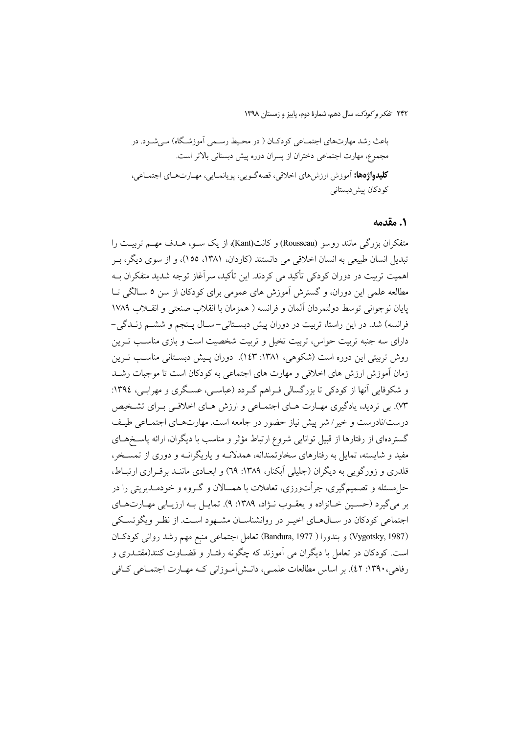### 1. مقدمه

متفكران بزرگي مانند روسو (Rousseau) و كانت(Kant)، از يك ســو، هــدف مهــم تربيــت را تبدیل انسان طبیعی به انسان اخلاقی می دانستند (کاردان، ۱۳۸۱، ۱۵۵)، و از سوی دیگر، بـر اهمیت تربیت در دوران کودکی تأکید می کردند. این تأکید، سرآغاز توجه شدید متفکران بــه مطالعه علمی این دوران، و گسترش آموزش های عمومی برای کودکان از سن ۵ ســالگی تــا يايان نوجواني توسط دولتمردان ألمان و فرانسه ( همزمان با انقلاب صنعتي و انقــلاب ١٧٨٩ فرانسه) شد. در این راستا، تربیت در دوران پیش دبستانی-سال پـنجم و ششـم زنـدگی-دارای سه جنبه تربیت حواس، تربیت تخیل و تربیت شخصیت است و بازی مناسب تـرین روش تربیتی این دوره است (شکوهی، ۱۳۸۱: ۱٤۳:). دوران پـیش دبسـتانی مناسـب تـرین زمان آموزش ارزش های اخلاقی و مهارت های اجتماعی به کودکان است تا موجبات رشـد و شکوفایی آنها از کودکی تا بزرگسالی فـراهم گـردد (عباسـی، عسـگری و مهرابـی، ١٣٩٤: W. بی تردید، یادگیری مهـارت هـای اجتمـاعی و ارزش هـای اخلاقـی بـرای تشـخیص درست/نادرست و خیر / شر پیش نیاز حضور در جامعه است. مهارتهـای اجتمـاعی طیـف گستردهای از رفتارها از قبیل توانایی شروع ارتباط مؤثر و مناسب با دیگران، ارائه پاسـخهـای مفید و شایسته، تمایل به رفتارهای سخاوتمندانه، همدلانــه و پاریگرانــه و دوری از تمســخر، قلدری و زورگویی به دیگران (جلیلی اَبکنار، ۱۳۸۹: ۲۹) و ابعـادی ماننـد برقـراری ارتبـاط، حل مسئله و تصمیم گیری، جرأتورزی، تعاملات با همسالان و گـروه و خودمـدیریتی را در بر مي گيرد (حسين خـانزاده و يعقــوب نــژاد، ١٣٨٩: ٩). تمايــل بــه ارزيــابي مهــارتهــاي اجتماعی کودکان در سـال۱عـای اخیـر در روانشناسـان مشـهود اسـت. از نظـر ویگوتسـکی (Vygotsky, 1987) وبندورا ( Bandura, 1977) تعامل اجتماعي منبع مهم رشد رواني كودكان است. کودکان در تعامل با دیگران می آموزند که چگونه رفتـار و قضـاوت کنند(مقتـدری و رفاهي، ١٣٩٠: ٤٢). بر اساس مطالعات علمي، دانــش آمــوزاني كــه مهــارت اجتمــاعي كــافي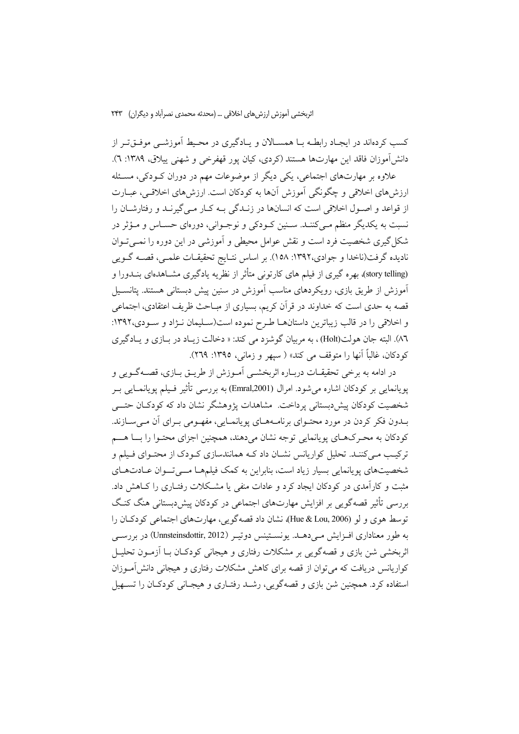کسب کردهاند در ایجـاد رابطــه بــا همســالان و پــادگیری در محـیط آموزشــی موفــق،تــر از دانش آموزان فاقد این مهارتها هستند (کردی، کیان یور قهفرخی و شهنی پیلاق، ۱۳۸۹: ۲).

علاوه بر مهارتهای اجتماعی، یکی دیگر از موضوعات مهم در دوران کـودکی، مسـئله ارزش های اخلاقی و چگونگی آموزش آنها به کودکان است. ارزش های اخلاقی، عبـارت از قواعد و اصـول اخلاقی است که انسانها در زنـدگی بـه کـار مـی گیرنـد و رفتارشـان را نسبت به یکدیگر منظم مے کننـد. سـنین کـودکی و نوجـوانی، دورهای حسـاس و مـؤثر در شکل گیری شخصیت فرد است و نقش عوامل محیطی و آموزشی در این دوره را نمــی تــوان نادیده گرفت(ناخدا و جوادی،۱۳۹۲: ۱۵۸). بر اساس نتـایج تحقیقـات علمـی، قصــه گــویی (story telling) بهره گیری از فیلم های کارتونی متأثر از نظریه یادگیری مشــاهدهای بنــدورا و آموزش از طریق بازی، رویکردهای مناسب آموزش در سنین پیش دبستانی هستند. پتانسـیل قصه به حدی است که خداوند در قرآن کریم، بسیاری از مبــاحث ظریف اعتقادی، اجتماعی و اخلاقی را در قالب زیباترین داستانها طرح نموده است(سـلیمان نـژاد و سـودی،۱۳۹۲: ٨٦). البته جان هولت(Holt) ، به مربيان گوشزد مي كند: « دخالت زيـاد در بـازي و يـادگيري كودكان، غالباً أنها را متوقف مي كند» ( سيهر و زماني، ١٣٩٥: ٢٦٩).

در ادامه به برخی تحقیقــات دربــاره اثربخشــی آمــوزش از طریــق بــازی، قصـــهگــویی و پویانمایی بر کودکان اشاره میشود. امرال (Emral,2001) به بررسی تأثیر فـیلم پویانمـایی بـر شخصیت کودکان پیش،بستانی پرداخت. مشاهدات پژوهشگر نشان داد که کودکـان حتـــی بـدون فكر كردن در مورد محتـواي برنامـههـاي يويانمـايي، مفهـومي بـراي أن مـي سـازند. کودکان به محرکهای پویانمایی توجه نشان میدهند، همچنین اجزای محتوا را با هسم ترکیب مـیکننـد. تحلیل کواریانس نشـان داد کـه همانندسازی کـودک از محتـوای فـیلم و شخصیتهای پویانمایی بسیار زیاد است، بنابراین به کمک فیلمهـا مـــیتــوان عــادتهـای مثبت و کارآمدی در کودکان ایجاد کرد و عادات منفی یا مشکلات رفتـاری را کـاهش داد. بررسی تأثیر قصه گویی بر افزایش مهارتهای اجتماعی در کودکان پیش دبستانی هنگ کنگ توسط هوی و لو (Hue & Lou, 2006)، نشان داد قصهگویی، مهارتهای اجتماعی کودکان را به طور معناداري افــزايش مــي دهــد. يونســتينس دوتيــر (Unnsteinsdottir, 2012) در بررســي اثربخشی شن بازی و قصهگویی بر مشکلات رفتاری و هیجانی کودکـان بــا اَزمــون تحليــل کواریانس دریافت که می توان از قصه برای کاهش مشکلات رفتاری و هیجانی دانش آمـوزان استفاده کرد. همچنین شن بازی و قصهگویی، رشـد رفتـاری و هیجـانی کودکـان را تســهیل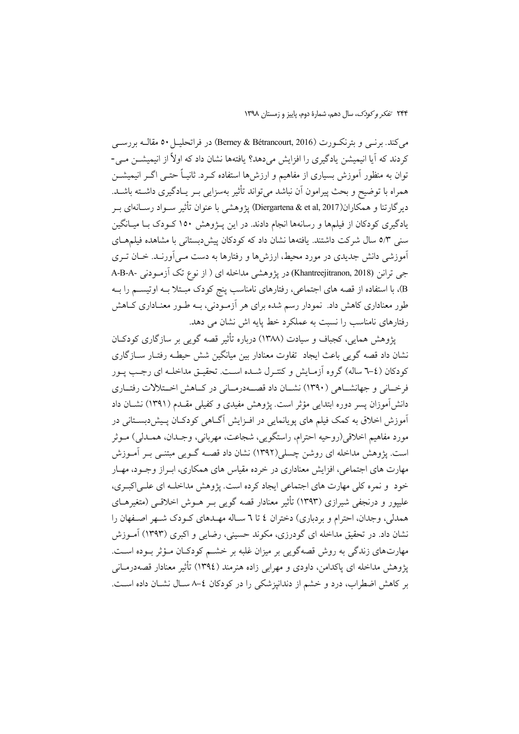می کند. بونسی و بترنک ورت (Berney & Bétrancourt, 2016) در فراتحلیــل ٥٠ مقالــه بررســی کردند که آیا انیمیشن یادگیری را افزایش میدهد؟ یافتهها نشان داد که اولاً از انیمیشــن مــی-توان به منظور آموزش بسیاری از مفاهیم و ارزشها استفاده کـرد. ثانیـاً حتــی اگــر انیمیشــن همراه با توضیح و بحث پیرامون آن نباشد میتواند تأثیر بهسزایی بـر یـادگیری داشــته باشــد. دير گارتنا و همكاران(Diergartena & et al, 2017) يژوهشي با عنوان تأثير سـواد رسـانهاي بـر یادگیری کودکان از فیلمها و رسانهها انجام دادند. در این پـژوهش ۱۵۰ کـودک بـا میـانگین سنی ٥/٣ سال شرکت داشتند. یافتهها نشان داد که کودکان پیش دبستانی با مشاهده فیلمهـای آموزشی دانش جدیدی در مورد محیط، ارزش ها و رفتارها به دست مـی آورنـد. خـان تـری جي ترانن (Khantreejitranon, 2018) در پژوهشي مداخله اي ( از نوع تک آزمودني -A-B-A B)، با استفاده از قصه های اجتماعی، رفتارهای نامناسب پنج کودک مبـتلا بـه اوتیســم را بـه طور معناداری کاهش داد. نمودار رسم شده برای هر آزمـودنی، بــه طــور معنــاداری کــاهش رفتارهای نامناسب را نسبت به عملکرد خط پایه اش نشان می دهد.

یژوهش همایی، کجباف و سیادت (۱۳۸۸) درباره تأثیر قصه گویی بر سازگاری کودکـان نشان داد قصه گویی باعث ایجاد تفاوت معنادار بین میانگین شش حیطـه رفتـار ســازگاری كودكان (٤-٦ ساله) گروه آزمـايش و كنتـرل شـده اسـت. تحقيـق مداخلـه اي رجـب پـور فرخــانی و جهانشــاهی (۱۳۹۰) نشــان داد قصــهدرمــانی در کــاهش اخــتلالات رفتــاری دانش آموزان پسر دوره ابتدایی مؤثر است. پژوهش مفیدی و کفیلی مقـدم (۱۳۹۱) نشــان داد آموزش اخلاق به کمک فیلم های پویانمایی در افـزایش آگـاهی کودکـان پـیشدبسـتانی در مورد مفاهيم اخلاقي(روحيه احترام، راستگويي، شجاعت، مهرباني، وجــدان، همــدلي) مــوثر است. یژوهش مداخله ای روشن چسلی(۱۳۹۲) نشان داد قصــه گــویی مبتنــی بــر آمــوزش مهارت های اجتماعی، افزایش معناداری در خرده مقیاس های همکاری، ابـراز وجـود، مهـار خود و نمره کلی مهارت های اجتماعی ایجاد کرده است. پژوهش مداخلـه ای علـی|کبـری، علیپور و درنجفی شیرازی (۱۳۹۳) تأثیر معنادار قصه گویی بـر هــوش اخلاقــی (متغیرهــای همدلی، وجدان، احترام و بردباری) دختران ٤ تا ٦ سـاله مهـدهای كـودك شـهر اصـفهان را نشان داد. در تحقیق مداخله ای گودرزی، مکوند حسینی، رضایی و اکبری (۱۳۹۳) آمـوزش مهارتهای زندگی به روش قصهگویی بر میزان غلبه بر خشـم کودکـان مـؤثر بـوده اسـت. يژوهش مداخله اي پاکدامن، داودي و مهرابي زاده هنرمند (١٣٩٤) تأثير معنادار قصهدرمــاني بر كاهش اضطراب، درد و خشم از دندانپزشكي را در كودكان ٤-٨ سـال نشـان داده اسـت.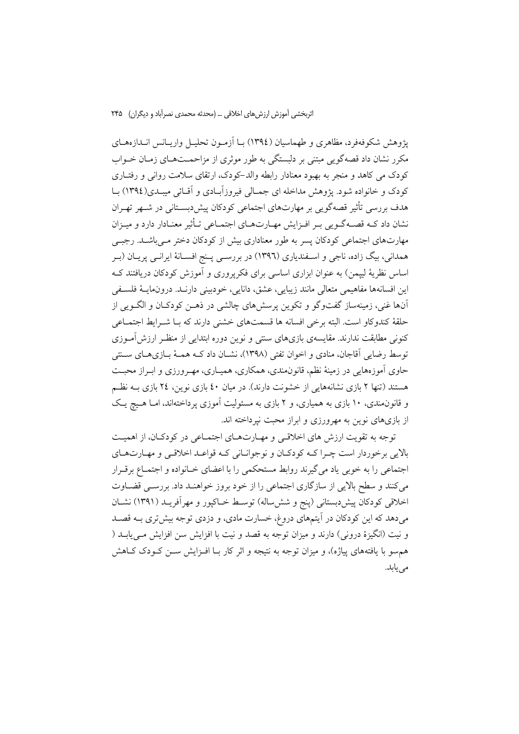پژوهش شکوفهفرد، مظاهری و طهماسیان (١٣٩٤) بــا آزمـون تحليــل واريــانس انــدازههــای مکرر نشان داد قصهگویی مبتنی بر دلبستگی به طور موثری از مزاحمــتهــای زمــان خــواب کودک می کاهد و منجر به بهبود معنادار رابطه والد–کودک، ارتقای سلامت روانی و رفتــاری کودک و خانواده شود. پژوهش مداخله ای جمـالی فیروزآبـادی و آقـائی میبـدی(١٣٩٤) بـا هدف بررسی تأثیر قصهگویی بر مهارتهای اجتماعی کودکان پیش دبسـتانی در شـهر تهـران نشان داد کـه قصـهگـویی بـر افـزایش مهـارتهـای اجتمـاعی تـأثیر معنـادار دارد و میـزان مهارتهای اجتماعی کودکان پسر به طور معناداری بیش از کودکان دختر مے باشـلـ. رجبـی همدانی، بیگ زاده، ناجی و اسـفندیاری (۱۳۹٦) در بررسـی پـنج افسـانهٔ ایرانـی پریـان (بـر اساس نظریهٔ لیپمن) به عنوان ابزاری اساسی برای فکرپروری و آموزش کودکان دریافتند ک این افسانهها مفاهیمی متعالی مانند زیبایی، عشق، دانایی، خودبینی دارنـد. درونمایـهٔ فلسـفی آنها غنی، زمینهساز گفتوگو و تکوین پرسشهای چالشی در ذهـن کودکـان و الگــویی از حلقهٔ کندو کاو است. البته برخی افسانه ها قسمتهای خشنی دارند که بـا شـرابط اجتمـاعی کنونی مطابقت ندارند. مقایسهی بازیهای سنتی و نوین دوره ابتدایی از منظـر ارزش|مــوزی توسط رضایی آقاجان، منادی و اخوان تفتی (۱۳۹۸)، نشــان داد کــه همــهٔ بــازیهــای ســنتی حاوی آموزههایی در زمینهٔ نظم، قانون۵مندی، همکاری، همیـاری، مهـرورزی و ابـراز محبـت هستند (تنها ۲ بازی نشانههایی از خشونت دارند). در میان ٤٠ بازی نوین، ٢٤ بازی بـه نظـم و قانون مندی، ۱۰ بازی به همیاری، و ۲ بازی به مسئولیت آموزی پر داختهاند، امـا هـیچ یـک از بازیهای نوین به مهرورزی و ابراز محبت نیرداخته اند.

توجه به تقویت ارزش های اخلاقے و مهیارتهیای اجتمیاعی در کودکیان، از اهمیت بالايي برخوردار است چـرا كــه كودكـان و نوجوانـاني كـه قواعـد اخلاقــي و مهـارتهـاي اجتماعی را به خوبی یاد می گیرند روابط مستحکمی را با اعضای خـانواده و اجتمـاع برقـرار می کنند و سطح بالایی از سازگاری اجتماعی را از خود بروز خواهنـد داد. بررسـی قضـاوت اخلاقی کودکان پیش،بستانی (پنج و شش،ساله) توسط خـاکپور و مهراَفریـد (۱۳۹۱) نشــان میدهد که این کودکان در آیتمهای دروغ، خسارت مادی، و دزدی توجه بیشتری بـه قصـد و نيت (انگيزهٔ دروني) دارند و ميزان توجه به قصد و نيت با افزايش سن افزايش مـييابــد ( هم سو با یافتههای پیاژه)، و میزان توجه به نتیجه و اثر کار بـا افـزایش سـن کـودک کـاهش می یابد.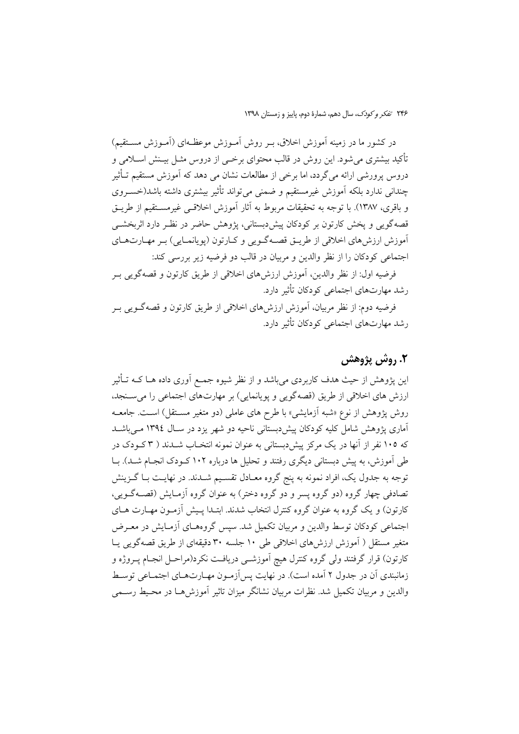در کشور ما در زمینه آموزش اخلاق، بـر روش آمـوزش موعظـهای (آمـوزش مســتقیم) تأکید بیشتری می شود. این روش در قالب محتوای برخــی از دروس مثــل بیــنش اســلامی و دروس پرورشی ارائه می گردد، اما برخی از مطالعات نشان می دهد که آموزش مستقیم تــأثیر چندانی ندارد بلکه آموزش غیرمستقیم و ضمنی می تواند تأثیر بیشتری داشته باشد(خسـروی و باقری، ۱۳۸۷). با توجه به تحقیقات مربوط به آثار آموزش اخلاقبی غیرمســتقیم از طریــق قصه گویی و پخش کارتون بر کودکان پیش دبستانی، پژوهش حاضر در نظـر دارد اثربخشــی ۔<br>اَموزش ارزش های اخلاقی از طریــق قصــهگــویی و کــارتون (یویانمــایی) بـر مهــارتهــای اجتماعی کودکان را از نظر والدین و مربیان در قالب دو فرضیه زیر بررسی کند:

فرضيه اول: از نظر والدين، اَموزش ارزش۵هاي اخلاقي از طريق كارتون و قصه گويي بـر رشد مهارتهای اجتماعی کودکان تأثیر دارد.

فرضیه دوم: از نظر مربیان، آموزش ارزش۵ای اخلاقی از طریق کارتون و قصهگـویی بـر رشد مهارتهای اجتماعی کودکان تأثیر دارد.

# ٢. روش پژوهش

این یژوهش از حیث هدف کاربردی می باشد و از نظر شیوه جمـع آوری داده هــا کــه تــأثیر ارزش های اخلاقی از طریق (قصهگویی و یویانمایی) بر مهارتهای اجتماعی را می سنجد، روش پژوهش از نوع «شبه آزمایشی» با طرح های عاملی (دو متغیر مســتقل) اســت. جامعــه آماری یژوهش شامل کلیه کودکان پیشدبستانی ناحیه دو شهر یزد در سـال ۱۳۹٤ مـی باشــد که ۱۰۵ نفر از آنها در یک مرکز پیش دبستانی به عنوان نمونه انتخـاب شـدند ( ۳ کــودک در طی آموزش، به پیش دبستانی دیگری رفتند و تحلیل ها درباره ۱۰۲ کـودک انجـام شـد). بــا توجه به جدول یک، افراد نمونه به پنج گروه معـادل تقسـیم شـدند. در نهایـت بـا گــزینش تصادفی چهار گروه (دو گروه پسر و دو گروه دختر) به عنوان گروه آزمـایش (قصــهگــوییِ، کارتون) و یک گروه به عنوان گروه کنترل انتخاب شدند. ابتـدا پـیش آزمـون مهـارت هـای اجتماعی کودکان توسط والدین و مربیان تکمیل شد. سپس گروههـای آزمـایش در معـرض متغیر مستقل ( آموزش ارزش های اخلاقی طی ۱۰ جلسه ۳۰ دقیقهای از طریق قصهگویی پـا کارتون) قرار گرفتند ولی گروه کنترل هیچ آموزشــی دریافـت نکرد(مراحــل انجــام پــروژه و زمانبندی آن در جدول ۲ آمده است). در نهایت پس آزمـون مهـارتهـای اجتمـاعی توسـط والدین و مربیان تکمیل شد. نظرات مربیان نشانگر میزان تاثیر آموزش هـا در محـیط رسـمی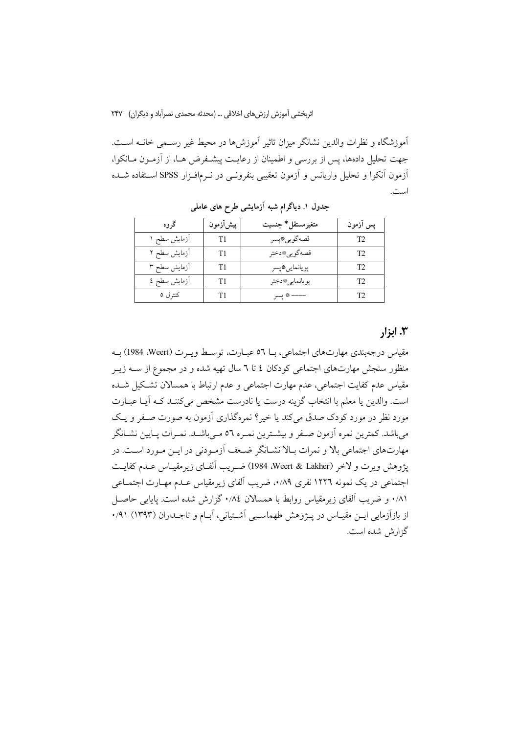آموزشگاه و نظرات والدین نشانگر میزان تاثیر آموزش۵ما در محیط غیر رسـمی خانــه اســت. جهت تحلیل دادهها، پس از بررسی و اطمینان از رعایت پیشـفرض هـا، از آزمـون مــانکوا، آزمون آنکوا و تحلیل واریانس و آزمون تعقیبی بنفرونــی در نــرمافــزار SPSS اســتفاده شـــده است.

| گروه         | ييش ازمون      | متغيرمستقل* جنسيت | پس أزمون |
|--------------|----------------|-------------------|----------|
| آزمایش سطح ۱ | T1             | قصهگويي، پسر      | T2       |
| آزمایش سطح ۲ | T1             | قصه گويي *دختر    | T2       |
| آزمایش سطح ۳ | T <sub>1</sub> | پويانمايي*پسر     | T2       |
| آزمایش سطح ٤ | T1             | يويانمايي#دختر    | T2       |
| کنترل ٥      | T1             | ---- * پسر        | T2       |

جدول ۱. دیاگرام شبه آزمایشی طرح های عاملی

## ۰٫۳ ایزا,

مقياس درجهبندي مهارتهاي اجتماعي، بـا ٥٦ عبـارت، توسـط ويـرت (Weert، 1984) بـه منظور سنجش مهارتهای اجتماعی کودکان ٤ تا ٦ سال تهیه شده و در مجموع از ســه زیــر مقياس عدم كفايت اجتماعي، عدم مهارت اجتماعي و عدم ارتباط با همسالان تشكيل شـده است. والدين يا معلم با انتخاب گزينه درست يا نادرست مشخص مي كننـد كـه آيـا عبــارت مورد نظر در مورد کودک صدق می کند یا خیر؟ نمرهگذاری آزمون به صورت صـفر و یـک میباشد. کمترین نمره آزمون صـفر و بیشـترین نمـره ٥٦ مـیباشـد. نمـرات پـایین نشـانگر مهارتهای اجتماعی بالا و نمرات بـالا نشـانگر ضـعف آزمـودنی در ایــن مـورد اســت. در يژوهش ويرت و لاخر (Weert & Lakher، 1984) ضـريب ألفـاي زيرمقيـاس عـدم كفايـت اجتماعی در یک نمونه ۱۲۲۲ نفری ۰٫۸۹٪ ضریب آلفای زیرمقیاس عـدم مهـارت اجتمــاعی ۰/۸۱ و ضریب آلفای زیرمقیاس روابط با همسالان ۰/۸٤ گزارش شده است. پایایی حاصـل از بازآزمایی ایـن مقیـاس در پــژوهش طهماسـبی آشــتیانی، آبــام و تاجــداران (۱۳۹۳) ۰/۹۱ گزارش شده است.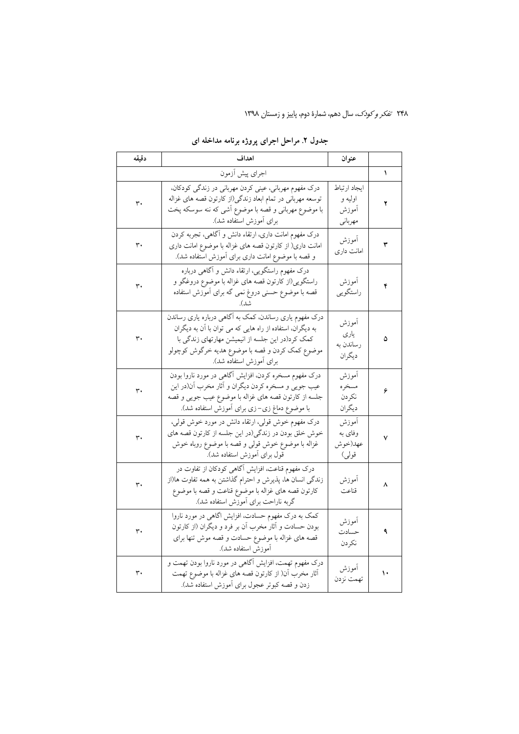| دقيقه | اهداف                                                                                                                                                                                                                                                 | عنوان                                       |    |
|-------|-------------------------------------------------------------------------------------------------------------------------------------------------------------------------------------------------------------------------------------------------------|---------------------------------------------|----|
|       | اجراى پيش أزمون                                                                                                                                                                                                                                       |                                             | ١  |
| ٣٠    | درک مفهوم مهربانی، عینی کردن مهربانی در زندگی کودکان،<br>توسعه مهربانی در تمام ابعاد زندگی(از کارتون قصه های غزاله<br>با موضوع مهربانی و قصه با موضوع أشی که ننه سوسکه پخت<br>برای أموزش استفاده شد).                                                 | ايجاد ارتباط<br>اوليه و<br>أموزش<br>مهرباني | ۲  |
| ٣٠    | درک مفهوم امانت داری، ارتقاء دانش و آگاهی، تجربه کردن<br>امانت داری( از کارتون قصه های غزاله با موضوع امانت داری<br>و قصه با موضوع امانت داری برای أموزش استفاده شد).                                                                                 | أموزش<br>امانت داری                         | ٣  |
| ٣٠    | درک مفهوم راستگویی، ارتقاء دانش و آگاهی درباره<br>راستگویی(از کارتون قصه های غزاله با موضوع دروغگو و<br>قصه با موضوع حسنی دروغ نمی گه برای أموزش استفاده                                                                                              | أموزش<br>راستگويي                           | ۴  |
| ٣٠    | درک مفهوم یاری رساندن، کمک به آگاهی درباره یاری رساندن<br>به دیگران، استفاده از راه هایی که می توان با آن به دیگران<br>کمک کرد(در این جلسه از انیمیشن مهارتهای زندگی با<br>موضوع كمك كردن و قصه با موضوع هديه خرگوش كوچولو<br>برای أموزش استفاده شد). | أموزش<br>یاری<br>رساندن به<br>ديگران        | ۵  |
| ٣٠    | درک مفهوم مسخره کردن، افزایش آگاهی در مورد ناروا بودن<br>عیب جویی و مسخره کردن دیگران و آثار مخرب آن(در این<br>جلسه از کارتون قصه های غزاله با موضوع عیب جویی و قصه<br>با موضوع دماغ زی–زی برای أموزش استفاده شد).                                    | أموزش<br>مسخره<br>نكردن<br>ديگران           | ۶  |
| ٣٠    | درک مفهوم خوش قولی، ارتقاء دانش در مورد خوش قولی،<br>خوش خلق بودن در زندگی(در این جلسه از کارتون قصه های<br>غزاله با موضوع خوش قولي و قصه با موضوع روباه خوش<br>قول برای أموزش استفاده شد).                                                           | أموزش<br>وفای به<br>عهد(خوش<br>قولي)        | ٧  |
| ٣٠    | درک مفهوم قناعت، افزایش آگاهی کودکان از تفاوت در<br>زندگی انسان ها، پذیرش و احترام گذاشتن به همه تفاوت ها(از<br>كارتون قصه هاى غزاله با موضوع قناعت و قصه با موضوع<br>گربه ناراحت برای أموزش استفاده شد).                                             | اموزش<br>قناعت                              | ۸  |
| ٣٠    | کمک به درک مفهوم حسادت، افزایش اگاهی در مورد ناروا<br>بودن حسادت و آثار مخرب آن بر فرد و دیگران (از کارتون<br>قصه های غزاله با موضوع حسادت و قصه موش تنها برای<br>أموزش استفاده شد).                                                                  | آموزش<br>حسادت<br>نكردن                     | ٩  |
| ٣٠    | درک مفهوم تهمت، افزایش آگاهی در مورد ناروا بودن تهمت و<br>أثار مخرب أن( از كارتون قصه هاى غزاله با موضوع تهمت<br>زدن و قصه کبوتر عجول برای اَموزش استفاده شد).                                                                                        | أموزش<br>تهمت نزدن                          | ١٠ |

# جدول ۲. مراحل اجرای پروژه برنامه مداخله ای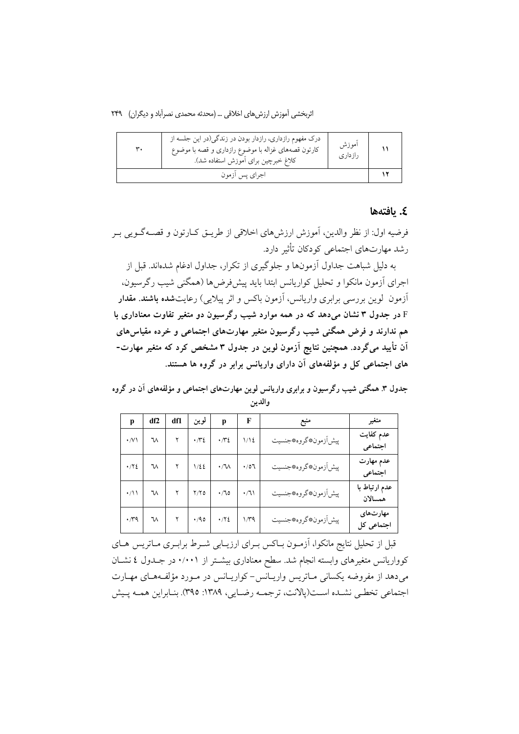| ۳۰ | درک مفهوم رازداری، رازدار بودن در زندگی(در این جلسه از<br>كارتون قصههاى غزاله با موضوع رازدارى و قصه با موضوع<br>كلاغ خبرچين براي آموزش استفاده شد). | أموزش<br>رازدارى |  |
|----|------------------------------------------------------------------------------------------------------------------------------------------------------|------------------|--|
|    | اجراي پس ازمون                                                                                                                                       |                  |  |

### ٤. يافتەھا

فرضيه اول: از نظر والدين، أموزش ارزشهاي اخلاقي از طريــق كــارتون و قصـــه گــويـي بــر رشد مهارتهای اجتماعی کودکان تأثیر دارد.

به دلیل شباهت جداول آزمونها و جلوگیری از تکرار، جداول ادغام شدهاند. قبل از اجرای آزمون مانکوا و تحلیل کواریانس ابتدا باید پیشفر ض۵ا (همگنی شیب رگر سیون، آزمون گوین بررسی برابری واریانس، آزمون باکس و اثر پیلایی) رعایتشده **باشند. مقدار** E در جدول ۳ نشان میدهد که در همه موارد شیب رگرسیون دو متغیر تفاوت معناداری با هم ندارند و فرض همگنی شیب رگرسیون متغیر مهارتهای اجتماعی و خرده مقیاسهای آن تأیید میگردد. همچنین نتایج آزمون لوین در جدول ۳ مشخص کرد که متغیر مهارت-های اجتماعی کل و مؤلفههای آن دارای واریانس برابر در گروه ها هستند.

جدول ۳. همگنی شیب رگرسیون و برابری واریانس لوین مهارتهای اجتماعی و مؤلفههای آن در گروه والدين

| р                           | df2           | df1 | لوين        | p                | F           | منبع                    | متغير                    |
|-----------------------------|---------------|-----|-------------|------------------|-------------|-------------------------|--------------------------|
| $\cdot$ /V \                | ₩             |     | $\cdot \pi$ | $\cdot \pi$      | 1/12        | پيش اَزمون، كروه، جنسيت | عدم كفايت<br>اجتماعي     |
| $\cdot$ / $\cdot$ / $\cdot$ | $\mathcal{M}$ |     | $1/\xi$     | $\cdot$ / V<br>A | $\cdot$ /07 | پيش اَزمون، كروه، جنسيت | عدم مهارت<br>اجتماعي     |
| $\cdot$ /11 W               |               |     | $Y/Y$ ٥     | $\cdot$ /70      | $\cdot/7$   | پيش اَزمون، كروه، جنسيت | عدم ارتباط با<br>همسالان |
| $\cdot$ /۳۹                 | ٦V            |     |             | $4/90$ $4/72$    | $1/\tau q$  | پيش آزمون، كروه، جنسيت  | مهارتهای<br>اجتماعی کل   |

قبل از تحلیل نتایج مانکوا، آزمـون بـاکس بـرای ارزیــابی شــرط برابــری مــاتریس هــای کوواریانس متغیرهای وابسته انجام شد. سطح معناداری بیشــتر از ۰/۰۰۱ در جــدول ٤ نشــان میدهد از مفروضه یکسانی مـاتریس واریـانس-کواریـانس در مـورد مؤلفـههـای مهـارت اجتماعي تخطبي نشـده اسـت(يالانت، ترجمـه رضـايي، ١٣٨٩: ٣٩٥). بنـابراين همـه يـيش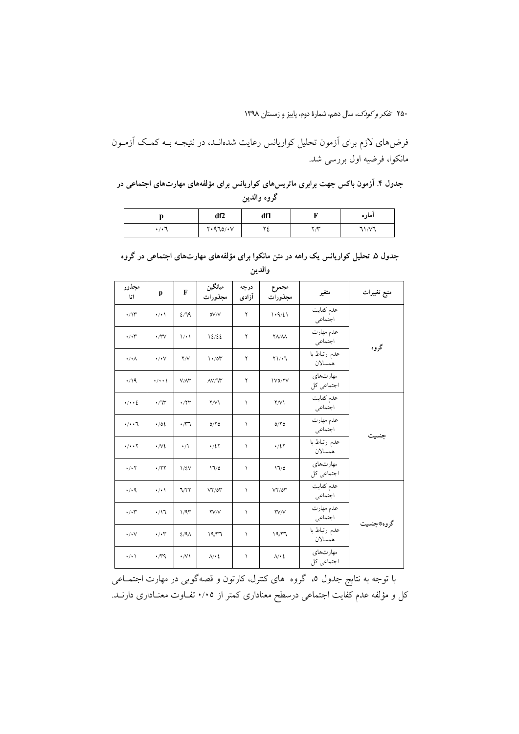فرضهای لازم برای آزمون تحلیل کواریانس رعایت شدهانـد، در نتیجـه بـه کمـک آزمـون مانکوا، فرضیه اول بررسی شد.

جدول ۴. آزمون باکس جهت برابری ماتریسهای کواریانس برای مؤلفههای مهارتهای اجتماعی در گروه والدين

|      | df2     | df1     |                   | اماره |
|------|---------|---------|-------------------|-------|
| .7.7 | Y.970/Y | s.<br>٠ | $\mathbf{v} \sim$ | 71/17 |

| جدول ۵ـ تحلیل کواریانس یک راهه در متن مانکوا برای مؤلفههای مهارتهای اجتماعی در گروه |  |
|-------------------------------------------------------------------------------------|--|
| والدين                                                                              |  |

| مجذور<br>اتا             | p                                      | F                    | ميانگين<br>مجذورات                | درجه<br>آزادی | مجموع<br>مجذورات      | متغير                    | منبع تغييرات |
|--------------------------|----------------------------------------|----------------------|-----------------------------------|---------------|-----------------------|--------------------------|--------------|
| $\cdot/\Upsilon$         | $\cdot/\cdot$                          | 2/19                 | oV/V                              | ٢             | 1.9/21                | عدم كفايت<br>اجتماعي     |              |
| $\cdot/\cdot$            | $\cdot \pi v$                          | $\setminus \cdot$    | 12/22                             | ٢             | <b>YA/AA</b>          | عدم مهارت<br>اجتماعي     | گروه         |
| $\cdot/\cdot \wedge$     | $\cdot/\cdot\vee$                      | Y/V                  | $1 \cdot 70$                      | ٢             | $Y \setminus \cdot 7$ | عدم ارتباط با<br>همسالان |              |
| $\cdot$ /19              | $\cdot/\cdot\cdot$                     | $V/\Lambda \Upsilon$ | $\Lambda V/\Gamma$                | ٢             | IV0/YV                | مهارتهاى<br>اجتماعي كل   |              |
| $\cdot/\cdot\cdot\}$     | $\cdot$ / $\hspace{-0.1cm}\mathcal{W}$ | $\cdot$ /۲۳          | $\Upsilon/V$                      | ١             | $\Upsilon/V$          | عدم كفايت<br>اجتماعي     |              |
| $\cdot/\cdot\cdot$       | $\cdot/0\xi$                           | $\cdot$ m            | $0/\Upsilon$ $0$                  | ١             | $0/Y$ 0               | عدم مهارت<br>اجتماعي     |              |
| $\cdot/\cdot\cdot$       | $\cdot \sim$                           | $\cdot/$             | $\cdot/2$                         | ١             | $\cdot/2$             | عدم ارتباط با<br>همسالان | جنسيت        |
| $\cdot/\cdot$ $\Upsilon$ | $\cdot$ / $\gamma \gamma$              | $1/\xi$ V            | 17/0                              | ١             | $\sqrt{2}$            | مهارتهاى<br>اجتماعي كل   |              |
| $\cdot$ / $\cdot$ 9      | $\cdot/\cdot$                          | <b>VYY</b>           | $V\Upsilon/G\Upsilon$             | ١             | $V\Upsilon/GV$        | عدم كفايت<br>اجتماعي     |              |
| $\cdot/\cdot$            | $\cdot/17$                             | 1/91                 | $\mathsf{Y}\mathsf{V}/\mathsf{V}$ | ١             | <b>YV/V</b>           | عدم مهارت<br>اجتماعي     |              |
| $\cdot/\cdot\vee$        | $\cdot/\!\cdot\!\!\uparrow$            | $2/9\Lambda$         | 19/T                              | ١             | 19/T7                 | عدم ارتباط با<br>همسالان | گروه*جنسيت   |
| $\cdot/\cdot$            | $\cdot \pi$ 9                          | $\cdot$ /V           | $\Lambda/\cdot\,$                 | $\lambda$     | $\Lambda/\cdot\,$     | مهارتهاى<br>اجتماعي كل   |              |

با توجه به نتایج جدول ٥، گروه های کنترل، کارتون و قصهگویی در مهارت اجتمــاعی کل و مؤلفه عدم کفایت اجتماعی درسطح معناداری کمتر از ۰/۰۵ تفـاوت معنـاداری دارنـد.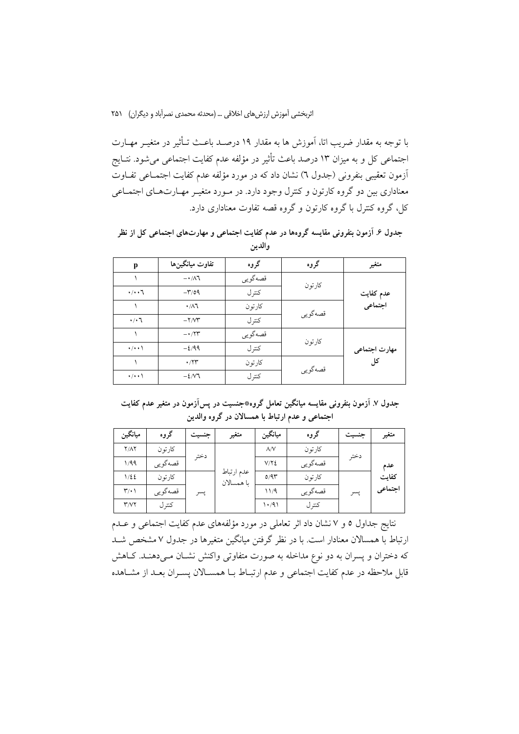با توجه به مقدار ضريب اتا، اَموزش ها به مقدار ١٩ درصـد باعـث تــأثير در متغيــر مهــارت اجتماعی کل و به میزان ۱۳ درصد باعث تأثیر در مؤلفه عدم کفایت اجتماعی می شود. نتـایج آزمون تعقیبی بنفرونی (جدول ٦) نشان داد که در مورد مؤلفه عدم کفایت اجتمـاعی تفـاوت معناداری بین دو گروه کارتون و کنترل وجود دارد. در مـورد متغیـر مهـارتهـای اجتمـاعی کل، گروه کنترل با گروه کارتون و گروه قصه تفاوت معناداری دارد.

جدول ۶. آزمون بنفرونی مقایسه گروهها در عدم کفایت اجتماعی و مهارتهای اجتماعی کل از نظر والدين

| p                   | تفاوت ميانگينها                    | گروه     | گروه    | متغير                |  |
|---------------------|------------------------------------|----------|---------|----------------------|--|
|                     | $ \cdot$ / $\wedge$ ٦              | قصەگويى  |         |                      |  |
| $\cdot/\cdot\cdot7$ | $-\mathsf{r}/\mathsf{0}\mathsf{q}$ | كترل     | كارتون  | عدم كفايت<br>اجتماعي |  |
|                     | $\cdot/\lambda$ ٦                  | كارتون   |         |                      |  |
| $\cdot/\cdot$ 7     | $-Y/W^*$                           | كترل     | قصهگويي |                      |  |
|                     | $- \cdot 77$                       | قصه گويې |         |                      |  |
| $\cdot/\cdot\cdot$  | $-2/99$                            | كترل     | كارتون  | مهارت اجتماعي        |  |
|                     | .77                                | كارتون   |         | کل                   |  |
| $\cdot/\cdot\cdot$  | $-\frac{2}{\sqrt{2}}$              | كترل     | قصەگويى |                      |  |

جدول ۷. آزمون بنفرونی مقایسه میانگین تعامل گروه٭جنسیت در پسآزمون در متغیر عدم کفایت اجتماعی و عدم ارتباط با همسالان در گروه والدین

| ميانگين                           | گروه    | جنسيت | متغير                    | ميانگين      | گروه    | جنسيت | متغير   |
|-----------------------------------|---------|-------|--------------------------|--------------|---------|-------|---------|
| $Y/\Lambda Y$                     | كارتون  |       |                          | $\Lambda$ /V | كارتون  |       |         |
| 1/99                              | قصەگويى | دختر  |                          | V/Y          | قصەگويى | دختر  | عدم     |
| 1/22                              | كارتون  |       | عدم ارتباط<br>با همسالان | 0/9r         | كارتو ن |       | كفاىت   |
| $\mathsf{r}\prime\cdot\mathsf{l}$ | قصەگويى | پسر   |                          | 11/9         | قصەگويى | يسر   | اجتماعي |
| $\mathsf{r}$ / $\mathsf{v}$       | كنتر ل  |       |                          | ۱۰/۹۱        | كنتر ل  |       |         |

نتایج جداول ٥ و ٧ نشان داد اثر تعاملی در مورد مؤلفههای عدم کفایت اجتماعی و عــدم ارتباط با همسالان معنادار است. با در نظر گرفتن میانگین متغیرها در جدول ۷ مشخص شـد که دختران و پسران به دو نوع مداخله به صورت متفاوتی واکنش نشـان مـیدهنـد. کـاهش قابل ملاحظه در عدم کفایت اجتماعی و عدم ارتبـاط بــا همســالان پســران بعــد از مشــاهده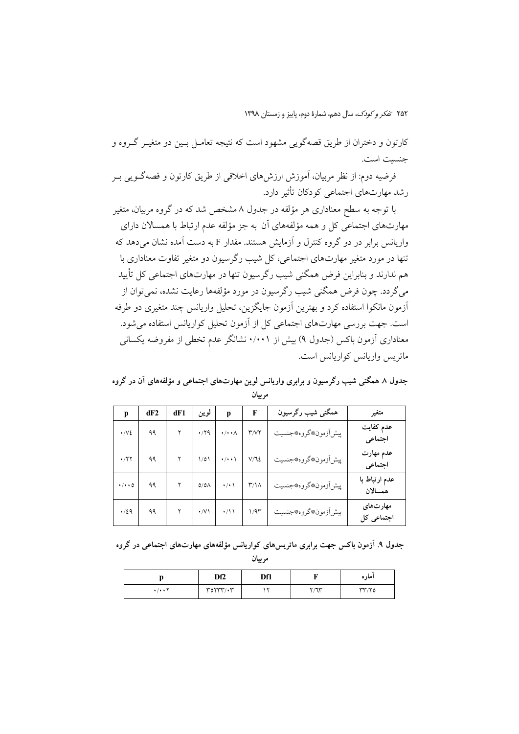کارتون و دختران از طریق قصهگویی مشهود است که نتیجه تعامـل بـین دو متغیـر گـروه و حنست است.

فرضیه دوم: از نظر مربیان، آموزش ارزش های اخلاقی از طریق کارتون و قصهگـویی بــر رشد مهارتهای اجتماعی کودکان تأثیر دارد.

با توجه به سطح معناداری هر مؤلفه در جدول ۸ مشخص شد که در گروه مربیان، متغیر مهارتهای اجتماعی کل و همه مؤلفههای آن به جز مؤلفه عدم ارتباط با همسالان دارای واریانس برابر در دو گروه کنترل و آزمایش هستند. مقدار F به دست آمده نشان مر دهد که تنها در مورد متغیر مهارتهای اجتماعی، کل شیب رگرسیون دو متغیر تفاوت معناداری با هم ندارند و بنابراین فرض همگنی شیب رگرسیون تنها در مهارتهای اجتماعی کل تأیید می گردد. چون فرض همگنی شبب ر گرسبون در مورد مؤلفهها رعایت نشده، نمی توان از آزمون مانکوا استفاده کرد و بهترین آزمون جایگزین، تحلیل واریانس چند متغیری دو طرفه است. جهت بررسی مهارتهای اجتماعی کل از آزمون تحلیل کواریانس استفاده می شود. معناداری آزمون باکس (جدول ۹) بیش از ۰/۰۰۱ نشانگر عدم تخطی از مفروضه یکسانی ماتریس واریانس کواریانس است.

جدول ۸ همگنی شیب رگرسیون و برابری واریانس لوین مهارتهای اجتماعی و مؤلفههای آن در گروه مر بيان

| p                     | dF2 | dF1 | لوين              | p                        | F                           | همگنی شیب رگرسیون       | متغير                    |
|-----------------------|-----|-----|-------------------|--------------------------|-----------------------------|-------------------------|--------------------------|
| $\cdot$ /V $\epsilon$ | ۹۹  |     | $\cdot$ /۲۹       | $\cdot/\cdot\cdot\wedge$ | $\Upsilon/\Upsilon\Upsilon$ | پيش اَزمون، كروه، جنسيت | عدم كفايت<br>اجتماعي     |
| $\cdot$ /۲۲           | ۹۹  |     | 1/01              | $\cdot/\cdot\cdot$       | $V/\mathcal{L}$             | پيش اَزمون، كروه، جنسيت | عدم مهارت<br>اجتماعي     |
| $\cdot/\cdot\cdot$ 0  | ۹۹  |     | $0/\delta\Lambda$ | $\cdot/\cdot$ \          | $\Upsilon/\Lambda$          | پيش آزمون، گروه، جنسيت  | عدم ارتباط با<br>همسالان |
| $\cdot$ /29           | ۹۹  |     | $\cdot$ /V \      | $\cdot/11$               | 1/9                         | پيش اَزمون، كروه، جنسيت | مهارتهای<br>اجتماعی کل   |

جدول ۹. آزمون باکس جهت برابری ماتریسهای کواریانس مؤلفههای مهارتهای اجتماعی در گروه

مر بيان

|                     | Df <sub>2</sub> | Df1 |     | امار ه |
|---------------------|-----------------|-----|-----|--------|
| $\check{}$<br>. / 1 | $\mathsf{r}$    |     | Y/T | rr/r   |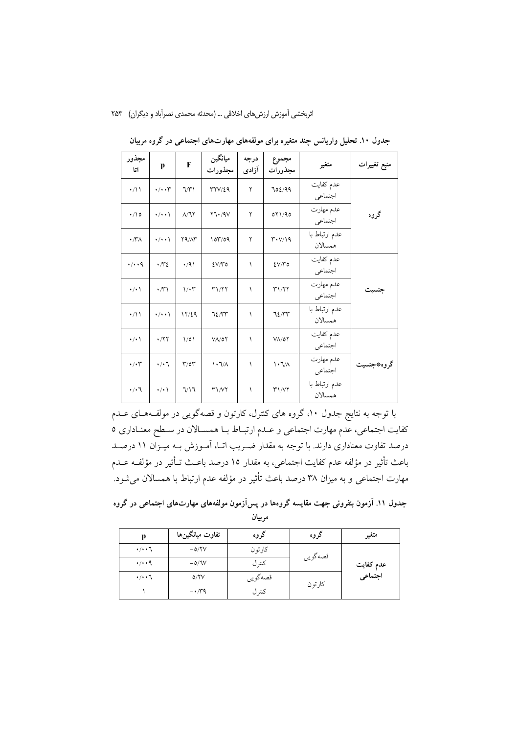| مجذور<br>اتا         | p                  | F                       | ميانگين<br>مجذورات          | درجه<br>آزادی | مجموع<br>مجذورات                          | متغير                    | منبع تغييرات |
|----------------------|--------------------|-------------------------|-----------------------------|---------------|-------------------------------------------|--------------------------|--------------|
| $\cdot/11$           | $\cdot/\cdot\cdot$ | $\mathcal{W}$           | 377/29                      | ۲             | 702/99                                    | عدم كفايت<br>اجتماعي     |              |
| $\cdot$ 10           | $\cdot/\cdot\cdot$ | $\Lambda/\tau$          | Y7.79V                      | ۲             | ٥٢١/٩٥                                    | عدم مهارت<br>اجتماعي     | گروه         |
| $\cdot$ / $\gamma$   | $\cdot/\cdot\cdot$ | Y9/Nr                   | 107/09                      | ٢             | $\mathbf{r} \cdot \mathbf{V}/\mathbf{19}$ | عدم ارتباط با<br>همسالان |              |
| $\cdot/\cdot\cdot$ 9 | $\cdot \pi$        | $\cdot$ /9)             | $EV/V$ 0                    | ١             | $EV/T$ 0                                  | عدم كفايت<br>اجتماعي     |              |
| $\cdot/\cdot$        | $\cdot \pi$        | $1/\cdot 7$             | ۳۱/۲۲                       | ١             | T1/T                                      | عدم مهارت<br>اجتماعي     | جنسيت        |
| $\cdot/ \wedge$      | $\cdot/\cdot\cdot$ | 17/29                   | ٦٤/٣٣                       | ١             | 72/17                                     | عدم ارتباط با<br>همسالان |              |
| $\cdot/\cdot$        | $\cdot$ /٢٢        | ۱/۵۱                    | $V$ $\Lambda$ /07           | ١             | $V$ $\Lambda$ /07                         | عدم كفايت<br>اجتماعي     |              |
| $\cdot/\cdot$ ۳      | $\cdot/\cdot$ \    | $\mathbf{r}/\mathbf{r}$ | $\lambda \cdot 7/\lambda$   | ١             | $\lambda \cdot 7/\lambda$                 | عدم مهارت<br>اجتماعي     | گروه*جنسیت   |
| $\cdot/\cdot$ ٦      | $\cdot/\cdot$ \    | 7/17                    | $\mathsf{r}_1/\mathsf{r}_1$ | ١             | T1/VY                                     | عدم ارتباط با<br>همسالان |              |

جدول ۱۰. تحلیل واریانس چند متغیره برای مولفههای مهارتهای اجتماعی در گروه مربیان

با توجه به نتایج جدول ۱۰، گروه های کنترل، کارتون و قصهگویی در مولفـههـای عــدم كفايت اجتماعي، عدم مهارت اجتماعي و عــدم ارتبــاط بــا همســالان در ســطح معنــاداري ٥ درصد تفاوت معناداری دارند. با توجه به مقدار ضـریب اتـا، آمـوزش بــه میــزان ۱۱ درصــد باعث تأثير در مؤلفه عدم كفايت اجتماعي، به مقدار ١٥ درصد باعـث تـأثير در مؤلفــه عــدم مهارت اجتماعی و به میزان ۳۸ درصد باعث تأثیر در مؤلفه عدم ارتباط با همسالان میشود.

جدول ۱۱. آزمون بنفرونی جهت مقایسه گروهها در پسآزمون مولفههای مهارتهای اجتماعی در گروه مربيان

| p                    | تفاوت ميانگينها | گروه    | گروه    | متغير                |
|----------------------|-----------------|---------|---------|----------------------|
| $\cdot/\cdot\cdot7$  | $-0/7V$         | كارتون  |         |                      |
| $\cdot/\cdot\cdot$ ٩ | $-0/IV$         | كتترل   | قصەگويى | عدم كفايت<br>اجتماعي |
| $\cdot/\cdot\cdot$ ٦ | 0/7V            | قصەگويى |         |                      |
|                      | $-1.79$         | كترل    | كارتون  |                      |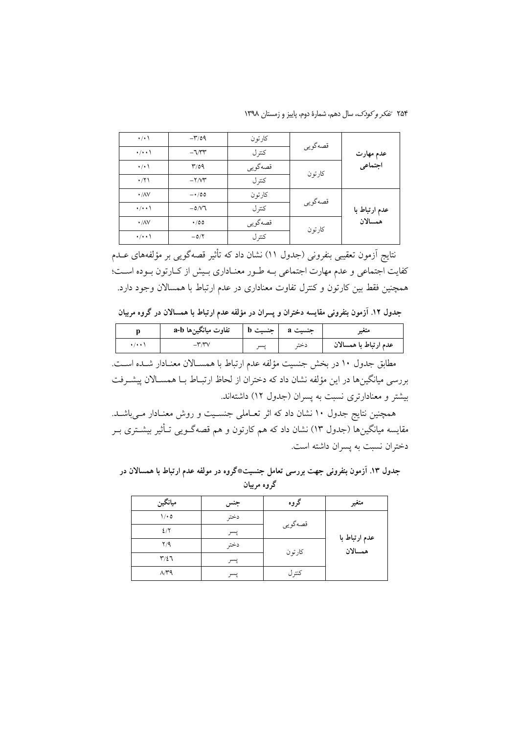۲۵۴ تفکر و کودک، سال دهم، شمارهٔ دوم، پاییز و زمستان ۱۳۹۸

| $\cdot$ / $\cdot$ \ | $-\mathsf{r}/\mathsf{0}\mathsf{q}$ | كارتو ن | قصەگويى |                          |  |
|---------------------|------------------------------------|---------|---------|--------------------------|--|
| $\cdot/\cdot\cdot$  | $-\sqrt{\gamma\gamma}$             | كترل    |         | عدم مهارت<br>اجتماعي     |  |
| $\cdot$ / $\cdot$ \ | r/a                                | قصهگويي | كارتون  |                          |  |
| $\cdot$ /٢١         | $-Y/V^*$                           | كتر ل   |         |                          |  |
| $\cdot$ /AV         | $-100$                             | كارتون  | قصەگويى | عدم ارتباط با<br>همسالان |  |
| $\cdot/\cdot\cdot$  | $-0/N$ ٦                           | كترل    |         |                          |  |
| $\cdot$ /AV         | $\cdot$ /00                        | قصەگويى |         |                          |  |
| $\cdot/\cdot\cdot$  | $-0/7$                             | كترل    | كارتون  |                          |  |

نتایج اَزمون تعقیبی بنفرونی (جدول ۱۱) نشان داد که تأثیر قصهگویی بر مؤلفههای عــدم كفايت اجتماعي و عدم مهارت اجتماعي بـه طـور معنـاداري بـيش از كـارتون بـوده اسـت؛ همچنین فقط بین کارتون و کنترل تفاوت معناداری در عدم ارتباط با همسالان وجود دارد.

جدول ۱۲. آزمون بنفرونی مقایسه دختران و پسران در مؤلفه عدم ارتباط با همسالان در گروه مربیان

| تفاوت میانگینِها a-b | - حنسیب - | جنسیت a | مىعى                  |
|----------------------|-----------|---------|-----------------------|
|                      | ىس        | دخته    | عدم ارتباط با همسالان |

مطابق جدول ١٠ در بخش جنسيت مؤلفه عدم ارتباط با همسـالان معنـادار شـده اسـت. بررسی میانگینها در این مؤلفه نشان داد که دختران از لحاظ ارتبـاط بـا همسـالان پیشــرفت بیشتر و معنادارتری نسبت به پسران (جدول ۱۲) داشتهاند.

همچنین نتایج جدول ۱۰ نشان داد که اثر تعــاملی جنســیت و روش معنــادار مــیباشــد. مقایسه میانگینها (جدول ۱۳) نشان داد که هم کارتون و هم قصهگــویی تــأثیر بیشــتری بــر دختران نسبت به يسران داشته است.

جدول ۱۳. آزمون بنفرونی جهت بررسی تعامل جنسیت\*گروه در مولفه عدم ارتباط با همسالان در گروه مربیان

| ميانگين                 | جنس  | گروه    | متغير                         |
|-------------------------|------|---------|-------------------------------|
| $1/\cdot 0$             | دختر | قصهگويي |                               |
| 2/7                     | پسر  |         | عدم ارتباط با<br>ِ<br>همسالان |
| Y/9                     | دختر | كارتون  |                               |
| $\mathbf{r}/\mathbf{z}$ | پسر  |         |                               |
| $\Lambda/T9$            | پسر  | كترل    |                               |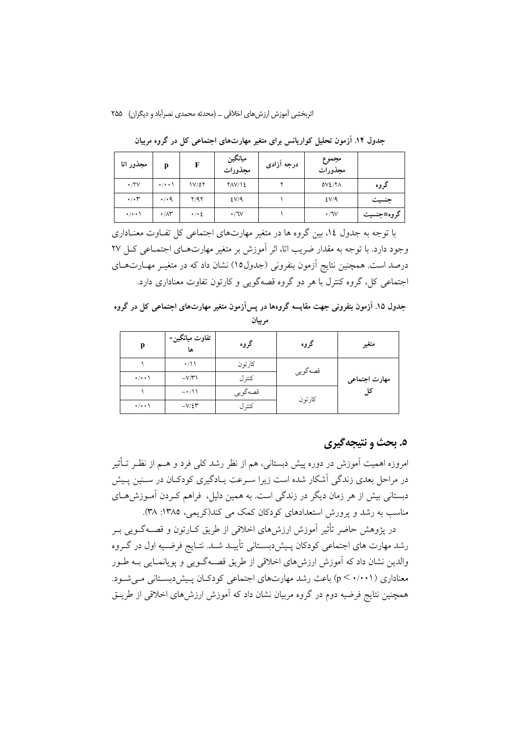| مجذور اتا                  |                         | F                   | ميانگين<br>مجذورات | درجه آزادی | مجموع<br>مجذورات |            |
|----------------------------|-------------------------|---------------------|--------------------|------------|------------------|------------|
| $\cdot$ /۲۷                | $\cdot/\cdot\cdot$      | ۱۷/٥۲               | YAY/Y              |            | OVI/X            | گروه       |
| $\cdot/\cdot$ $\mathsf{r}$ | $\cdot$ / $\cdot$ 9     | Y/9Y                | EV/A               |            | EV/A             | جنسيت      |
| $\cdot$ / $\cdot$          | $\cdot/\wedge\breve{r}$ | $\cdot$ / $\cdot$ 2 | $\cdot$ /JV        |            | $\cdot$ /JV      | گروه*جنسیت |

جدول ۱۴. آزمون تحلیل کواریانس برای متغیر مهارتهای اجتماعی کل در گروه مربیان

با توجه به جدول ۱٤، بین گروه ها در متغیر مهارتهای اجتماعی کل تفـاوت معنــاداری وجود دارد. با توجه به مقدار ضریب اتا، اثر آموزش بر متغیر مهارتهـای اجتمـاعی کـل ۲۷ درصد است. همچنین نتایج اَزمون بنفرونی (جدول۱۵) نشان داد که در متغیـر مهــارتهــای اجتماعی کل، گروه کنترل با هر دو گروه قصهگویی و کارتون تفاوت معناداری دارد.

جدول ۱۵. آزمون بنفرونی جهت مقایسه گروهها در پسآزمون متغیر مهارتهای اجتماعی کل در گروه مربيان

| p                  | تفاوت ميانگين-<br>ها | گروه    | گروه    | متغير         |
|--------------------|----------------------|---------|---------|---------------|
|                    | $\cdot/11$           | كارتون  |         | مهارت اجتماعي |
| $\cdot/\cdot\cdot$ | $-V/Y$               | کنتر ل  | قصەگويى |               |
|                    | $-\cdot/11$          | قصەگويى |         |               |
| $\cdot/\cdot\cdot$ | $-V/\mathcal{E}$ ۳   | كترل    | كارتون  |               |

## ٥. بحث و نتيجهگيري

امروزه اهمیت آموزش در دوره پیش دبستانی، هم از نظر رشد کلی فرد و هــم از نظـر تــأثیر در مراحل بعدی زندگی آشکار شده است زیرا سـرعت پـادگیری کودکـان در سـنین پـیش دبستانی بیش از هر زمان دیگر در زندگی است. به همین دلیل، فراهم کـردن آمـوزش۵حـای مناسب به رشد و پرورش استعدادهای کودکان کمک می کند(کریمی، ۱۳۸۵: ۳۸).

در پژوهش حاضر تأثیر آموزش ارزش های اخلاقی از طریق کــارتون و قصــهگــویی بــر رشد مهارت های اجتماعی کودکان پـیش۱دبسـتانی تأییـد شـد. نتـایج فرضـیه اول در گـروه والدین نشان داد که آموزش ارزشهای اخلاقی از طریق قصـهگـویی و پویانمـایی بـه طـور معناداری (p < ۰/۰۰۱) باعث رشد مهارتهای اجتماعی کودکـان پـیش(دبسـتانی مـیشـود. همچنین نتایج فرضیه دوم در گروه مربیان نشان داد که آموزش ارزشهای اخلاقی از طریــق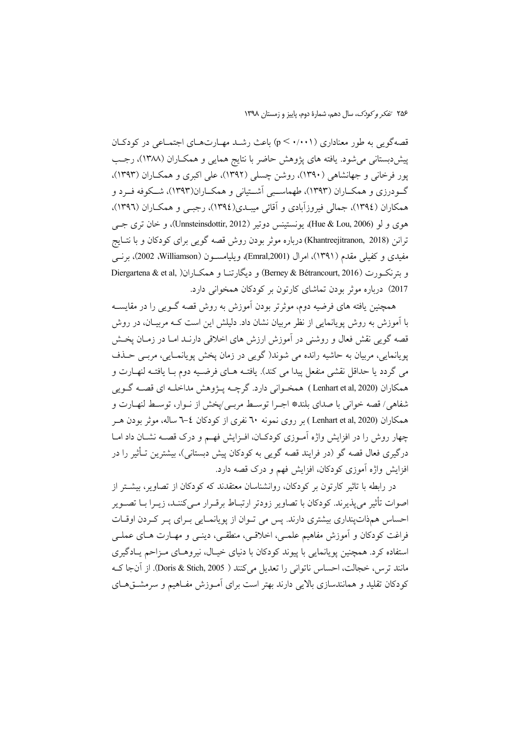قصهگویی به طور معناداری (p < ۰/۰۰۱) باعث رشد مهـارتهـای اجتمـاعی در کودکـان پیشدربستانی می شود. یافته های پژوهش حاضر با نتایج همایی و همکـاران (۱۳۸۸)، رجـب پور فرخانی و جهانشاهی (۱۳۹۰)، روشن چسلی (۱۳۹۲)، علی اکبری و همکـاران (۱۳۹۳)، گـودرزی و همکــاران (۱۳۹۳)، طهماســبی اَشــتیانی و همکــاران(۱۳۹۳)، شــکوفه فــرد و همکاران (١٣٩٤)، جمالي فيروزآبادي و آقائي ميبـدي(١٣٩٤)، رجبـي و همکــاران (١٣٩٦)، هوي و لو (Hue & Lou, 2006)، يونستينس دوتير (Unnsteinsdottir, 2012)، و خان ترى جبي ترانن (Khantreejitranon, 2018) درباره موثر بودن روش قصه گویبی برای کودکان و با نتـایج مفیدی و کفیلی مقدم (۱۳۹۱)، امرال (Emral,2001)، ویلیامســون (Williamson، 2002)، برنــی وبترنكورت (Berney & Bétrancourt, 2016) و ديگارتنـا و همكـاران( Diergartena & et al, 2017) درباره موثر بودن تماشای کارتون بر کودکان همخوانی دارد.

همچنین یافته های فرضیه دوم، موثرتر بودن اَموزش به روش قصه گــویی را در مقایســه با آموزش به روش پویانمایی از نظر مربیان نشان داد. دلیلش این است کـه مربیـان، در روش قصه گویی نقش فعال و روشنی در آموزش ارزش های اخلاقی دارنـد امـا در زمـان یخـش پویانمایی، مربیان به حاشیه رانده می شوند( گویی در زمان پخش پویانمـایی، مربـی حــذف مي گردد يا حداقل نقشي منفعل پيدا مي كند). يافتــه هــاي فرضــيه دوم بــا يافتــه لنهــارت و همكاران (Lenhart et al, 2020) همخـواني دارد. گرچــه پــزوهش مداخلــه اي قصــه گــويي شفاهي/ قصه خواني با صداي بلند\* اجـرا توسـط مربـي/پخش از نـوار، توسـط لنهـارت و همکاران (Lenhart et al, 2020) بر روی نمونه ٦٠ نفری از کودکان ٤–٦ ساله، موثر بودن هـر چهار روش را در افزایش واژه آمـوزی کودکـان، افـزایش فهـم و درک قصـه نشـان داد امـا درگیری فعال قصه گو (در فرایند قصه گویی به کودکان پیش دبستانی)، بیشترین تــأثیر را در افزایش واژه آموزی کودکان، افزایش فهم و درک قصه دارد.

در رابطه با تاثیر کارتون بر کودکان، روانشناسان معتقدند که کودکان از تصاویر، بیشتر از اصوات تأثیر میپذیرند. کودکان با تصاویر زودتر ارتبـاط برقـرار مـیکننـد، زیــرا بــا تصــویر احساس همذات پنداري بيشتري دارند. پس مي تـوان از يوپانمـايي بـراي پـر كـردن اوقـات فراغت کودکان و آموزش مفاهیم علمـی، اخلاقـی، منطقـی، دینـی و مهــارت هــای عملــی استفاده کرد. همچنین یوپانمایی با پیوند کودکان با دنیای خیـال، نیروهـای مـزاحم پـادگیری مانند ترس، خجالت، احساس ناتوانی را تعدیل میکنند ( Doris & Stich, 2005). از آنجا ک کودکان تقلید و همانندسازی بالایی دارند بهتر است برای آمـوزش مفـاهیم و سرمشــقهـای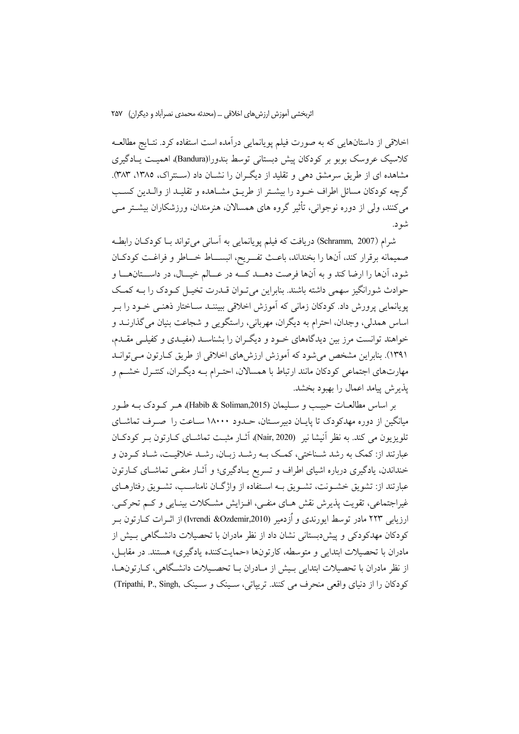اخلاقی از داستانهایی که به صورت فیلم یویانمایی درآمده است استفاده کرد. نتـایج مطالعــه کلاسیک عروسک بوبو بر کودکان پیش دبستانی توسط بندورا(Bandura)، اهمیـت یــادگیری مشاهده ای از طریق سرمشق دهی و تقلید از دیگران را نشـان داد (سـنتراک، ۱۳۸۵، ۳۸۳). گرچه کودکان مسائل اطراف خــود را بیشــتر از طریــق مشــاهده و تقلیــد از والــدین کســب می کنند، ولی از دوره نوجوانی، تأثیر گروه های همسالان، هنرمندان، ورزشکاران بیشــتر مــی شو د.

شرام (Schramm, 2007) دریافت که فیلم پویانمایی به آسانی می تواند بـا کودکـان رابطـه صميمانه برقرار كند، آنها را بخنداند، باعث تفــريح، انبســـاط خـــاطر و فراغـت كودكــان شود، آنها را ارضا کند و به آنها فرصت دهــد کــه در عــالم خیــال، در داســتانهــا و حوادث شورانگیز سهمی داشته باشند. بنابراین می توان قـدرت تخیـل کـودک را بــه کمـک یویانمایی پرورش داد. کودکان زمانی که آموزش اخلاقی ببیننــد ســاختار ذهنــی خــود را بــر اساس همدلي، وجدان، احترام به ديگران، مهرباني، راستگويي و شجاعت بنيان مي گذارنــد و خواهند توانست مرز بین دیدگاههای خـود و دیگـران را بشناسـد (مفیـدی و کفیلــی مقـدم، ۱۳۹۱). بنابراین مشخص میشود که آموزش ارزش۵مای اخلاقی از طریق کـارتون مـیتوانــد مهارتهای اجتماعی کودکان مانند ارتباط با همسالان، احتـرام بــه دیگـران، کنتـرل خشــم و يذير ش پيامد اعمال را بهبود بخشد.

بر اساس مطالعـات حبيـب و سـليمان (Habib & Soliman,2015)، هـر كـودك بـه طـور میانگین از دوره مهدکودک تا پایـان دبیرســتان، حــدود ۱۸۰۰۰ ســاعت را صــرف تماشــای تلويزيون مي كند. به نظر أنيشا نير (Nair, 2020)، أثــار مثبــت تماشــاي كــارتون بــر كودكــان عبارتند از: کمک به رشد شـناختی، کمـک بـه رشـد زبـان، رشـد خلاقیـت، شـاد کـردن و خنداندن، یادگیری درباره اشیای اطراف و تسریع یـادگیری؛ و آثـار منفـی تماشـای کـارتون عبارتند از: تشویق خشـونت، تشـویق بـه اسـتفاده از واژگــان نامناســب، تشــویق رفتارهــای غیراجتماعی، تقویت پذیرش نقش هـای منفـی، افـزایش مشـكلات بینـایی و كـم تحركـی. ارزیابی ۲۲۳ مادر توسط ایورندی و اُزدمیر (Ivrendi &Ozdemir,2010) از اثــرات کــارتون بــر کودکان مهدکودکی و پیش،بستانی نشان داد از نظر مادران با تحصیلات دانشگاهی بـیش از مادران با تحصيلات ابتدايي و متوسطه، كارتونها «حمايتكننده يادگيري» هستند. در مقابـل، از نظر مادران با تحصیلات ابتدایی بسش از مـادران بـا تحصـیلات دانشـگاهی، کـارتونهـا، كودكان را از دنياي واقعي منحرف مي كنند. تريياتي، سـينك و سـينك ,Tripathi, P., Singh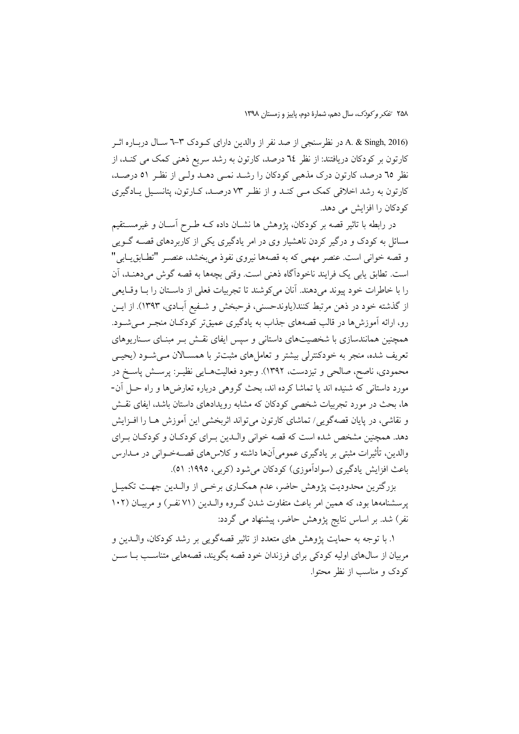A. & Singh, 2016) در نظرسنجی از صد نفر از والدین دارای کـودک ۳-۳ سـال دربـاره اثـر کارتون بر کودکان دریافتند: از نظر ٦٤ درصد، کارتون به رشد سریع ذهنی کمک می کنـد، از نظر ٦٥ درصد، كارتون درك مذهبي كودكان را رشـد نمـى دهـد ولـى از نظـر ٥١ درصـد، کارتون به رشد اخلاقی کمک مبی کنـد و از نظـر ۷۳ درصـد، کـارتون، یتانسـیل پـادگیری کو دکان را افزایش می دهد.

در رابطه با تاثیر قصه بر کودکان، یژوهش ها نشــان داده کــه طــرح آســان و غیرمســتقیم مسائل به کودک و درگیر کردن ناهشیار وی در امر یادگیری یکی از کاربردهای قصــه گــویی و قصه خوانی است. عنصر مهمی که به قصهها نیروی نفوذ می بخشد، عنصـر "تطــابق،يــابی" است. تطابق پابي يک فرايند ناخودآگاه ذهني است. وقتي بچهها به قصه گوش مي دهنـد، آن را با خاطرات خود پیوند می دهند. آنان می کوشند تا تجربیات فعلی از داسـتان را بــا وقــایعی از گذشته خود در ذهن مرتبط کنند(یاوندحسنی، فرحبخش و شـفیع آبـادی، ۱۳۹۳). از ایـن رو، ارائه آموزشها در قالب قصههای جذاب به یادگیری عمیقتر کودکـان منجـر مـیشـود. همچنین همانندسازی با شخصیتهای داستانی و سپس ایفای نقش بـر مبنـای سـناریوهای تعریف شده، منجر به خودکنترلی بیشتر و تعاملهای مثبتتر با همسـالان مـیشـود (یحیـی محمودی، ناصح، صالحی و تیزدست، ۱۳۹۲). وجود فعالیتهـایی نظیـر: پرســش پاســخ در مورد داستانی که شنیده اند یا تماشا کرده اند، بحث گروهی درباره تعارض ها و راه حـل آن-ها، بحث در مورد تجربیات شخصی کودکان که مشابه رویدادهای داستان باشد، ایفای نقش و نقاشی، در پایان قصهگویی/ تماشای کارتون می تواند اثربخشی این آموزش هـا را افـزایش دهد. همچنین مشخص شده است که قصه خوانی والبدین بـرای کودکـان و کودکـان بـرای والدین، تأثیرات مثبتی بر یادگیری عمومیآنها داشته و کلاس۵های قصـهخـوانی در مــدارس باعث افزايش پادگيري (سوادآموزي) کو دکان مي شو د (کربي، ١٩٩٥: ٥١).

بزرگترین محدودیت پژوهش حاضر، عدم همکـاری برخـی از والـدین جهـت تکمیـل پرسشنامهها بود، که همین امر باعث متفاوت شدن گـروه والـدین (۷۱ نفـر) و مربیــان (۱۰۲ نفر) شد. بر اساس نتایج پژوهش حاضر، پیشنهاد می گردد:

١. با توجه به حمايت يژوهش هاي متعدد از تاثير قصهگويي بر رشد كودكان، والــدين و مربیان از سال@ای اولیه کودکی برای فرزندان خود قصه بگویند، قصههایی متناسـب بـا ســن كودك و مناسب از نظر محتوا.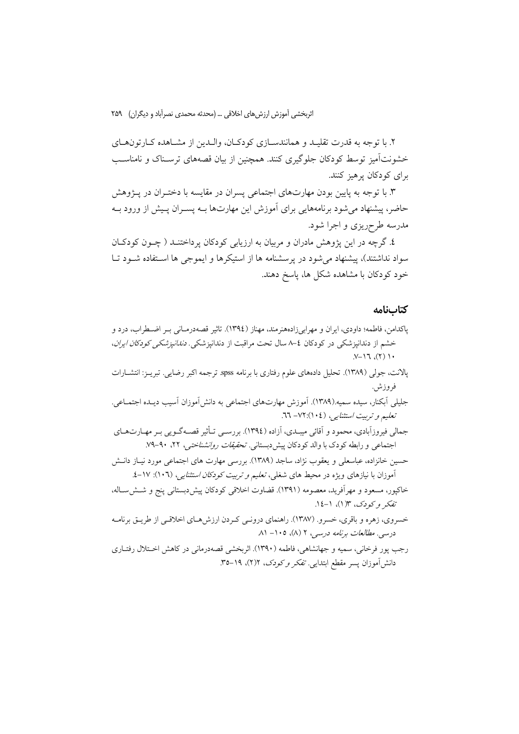۲. با توجه به قدرت تقلیـد و همانندسـازی کودکـان، والـدین از مشـاهده کـارتونهـای خشونتآمیز توسط کودکان جلوگیری کنند. همچنین از بیان قصههای ترسـناک و نامناسـب برای کو دکان پر هیز کنند.

۳. با توجه به پایین بودن مهارتهای اجتماعی پسران در مقایسه با دختـران در پــژوهش حاضر، پیشنهاد می شود برنامههایی برای آموزش این مهارتها بـه پسـران پـیش از ورود بــه مدرسه طرحریزی و اجرا شود.

٤. گرچه در این پژوهش مادران و مربیان به ارزیابی کودکان پرداختنـد ( چــون کودکــان سواد نداشتند)، پیشنهاد می شود در پرسشنامه ها از استیکرها و ایموجی ها استفاده شـود تـا خود کودکان با مشاهده شکل ها، پاسخ دهند.

### كتابنامه

- پاکدامن، فاطمه؛ داودی، ایران و مهرابیزادههنرمند، مهناز (١٣٩٤). تاثیر قصهدرمـانی بـر اضـطراب، درد و خشم از دندانپزشکی در کودکان ٤–٨ سال تحت مراقبت از دندانپزشکی. *دندانپزشکی کودکان ایران*،  $\cdot$  ( ( ),  $\Gamma$  /-V.
- پالانت، جولی (۱۳۸۹). تحلیل دادههای علوم رفتاری با برنامه spss. ترجمه اکبر رضایی. تبریـز: انتشــارات فروزش.
- جلیلی آبکنار، سیده سمیه.(۱۳۸۹). آموزش مهارتهای اجتماعی به دانشآموزان آسیب دیـده اجتمـاعی. تعلیم و تربیت استثنایی، (١٠٤): ٧٢ - ٦٦.
- جمالی فیروزآبادی، محمود و آقائی میبــدی، آزاده (١٣٩٤). بررســی تــأثیر قصــهگــویی بــر مهــارت۱عـای اجتماعی و رابطه کودک با والد کودکان پیش دبستانی. *تحقیقات روانشناختی،* ۲۲، ۹۰-۷۹.
- حسین خانزاده، عباسعلی و یعقوب نژاد، ساجد (۱۳۸۹). بررسی مهارت های اجتماعی مورد نیـاز دانـش آموزان با نیازهای ویژه در محیط های شغلی، *تعلیم و تربیت کودکان استثنایی، (*۱۰۲): ۱۷-٤.
- خاکپور، مسعود و مهراًفرید، معصومه (۱۳۹۱). قضاوت اخلاقی کودکان پیش،دبستانی پنج و شــشســاله، تفكر وكودك، ١٣(١)، ١-١٤.
- خسروي، زهره و باقري، خسرو. (١٣٨٧). راهنماي درونـي كـردن ارزشهـاي اخلاقـي از طريـق برنامـه درسی. مطالعات برنامه درسی، ۲ (۸)، ۱۰۵– ۸۱
- رجب یور فرخانی، سمیه و جهانشاهی، فاطمه (۱۳۹۰). اثربخشی قصهدرمانی در کاهش اختلال رفتـاری دانش آموزان پسر مقطع ابتدایی. تفکر و کودک، ۲(۲)، ۱۹–۳۵.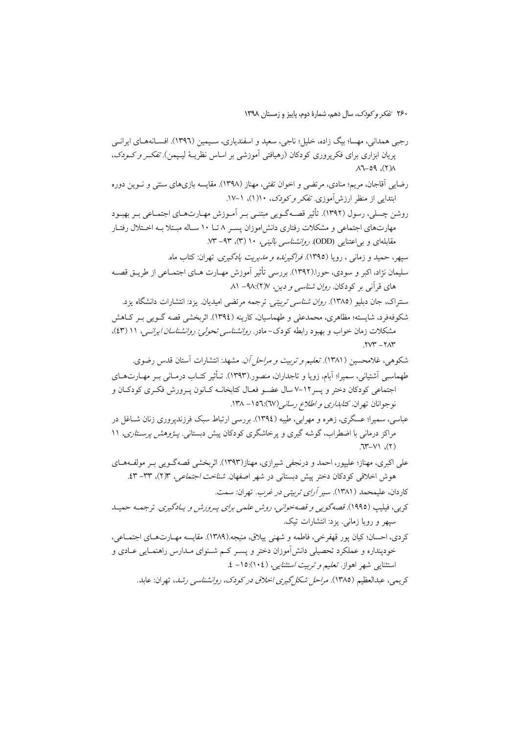رجپي همداني، مهسا؛ بيگ زاده، خليل؛ ناجي، سعيد و اسفندياري، سـيمين (١٣٩٦). افســانههــاي ايرانــي پریان ابزاری برای فکرپروری کودکان (رهیافتی آموزشی بر اساس نظریـهٔ لیـپمن). *تفکـر و کـودک*،  $\Lambda$ (Y),  $P_0 - Y \Lambda$ 

رضایی اّقاجان، مریم؛ منادی، مرتضی و اخوان تفتی، مهناز (۱۳۹۸). مقایسه بازیهای سنتی و نـوین دوره ابتدایی از منظر ارزش آموزی تھکر و کودک، ۱۰(۱)، ۱–۱۷.

روشن چسلی، رسول (۱۳۹۲). تأثیر قصـهگـویی مبتنـی بـر آمـوزش مهـارتهـای اجتمـاعی بـر بهبـود مهارتهای اجتماعی و مشکلات رفتاری دانش|موزان پسـر ۸ تـا ۱۰ سـاله مبـتلا بـه اخـتلال رفتـار مقابلهای و بی اعتنایی (ODD). *روانشناسی بالینی، ۱۰* (۳)، ۹۳– ۷۳.

سپهر، حمید و زمانی ، رویا (١٣٩٥). *فراگیرنده و مدیریت یادگیری*. تهران: کتاب ماه. سليمان نژاد، اکبر و سودي، حورا.(١٣٩٢). بررسي تأثير آموزش مهـارت هـاي اجتمـاعي از طريــق قصــه های قرآنی بر کودکان *روان شناسی و دین، ۹*۸:(۲) - ۸۱

- سنتراک، جان دبلیو (۱۳۸۵). *روان شناسی تربیتی.* ترجمه مرتضی امیدیان. یزد: انتشارات دانشگاه یزد.
- شکوفهفرد، شایسته؛ مظاهری، محمدعلی و طهماسیان، کارینه (١٣٩٤). اثربخشی قصه گـویی بـر کـاهش مشکلات زمان خواب و بهبود رابطه کودک-مادر *. روانشناسی تحولی: روانشناسان ایرانبی*، ۱۱ (٤٣)،  $.75 - 747$
- شکوهی، غلامحسین (۱۳۸۱). *تعلیم و تربیت و مراحل آن*. مشهد: انتشارات آستان قدس رضوی. طهماسبی اَشتیانی، سمیرا؛ اَبام، زویا و تاجداران، منصور.(۱۳۹۳). تــأثیر کتــاب درمــانی بــر مهــارتهــای اجتماعی کودکان دختر و پسر ۱۲–۷ سال عضـو فعـال کتابخانــه کـانون پـرورش فکـری کودکـان و نوجوانان تهران *كتابدارى و اطلاع رسانى(٦*٧):١٥٦- ١٣٨.
- عباسی، سمیرا؛ عسگری، زهره و مهرابی، طیبه (١٣٩٤). بررسی ارتباط سبک فرزندپروری زنان شــاغل در مراکز درمانی با اضطراب، گوشه گیری و پرخاشگری کودکان پیش دبستانی. *پـژوهش پرسـتاری*، ۱۱  $(Y), Y-Y$
- علي اکبري، مهناز؛ عليپور، احمد و درنجفي شيرازي، مهناز(١٣٩٣). اثربخشي قصهگـويي بـر مولفـههـاي هوش اخلاقی کودکان دختر پیش دبستانی در شهر اصفهان *شناخت اجتماعی*، ۱۳(۲)، ۳۳–۶۳. كاردان، عليمحمد (١٣٨١). *سير آراي تربيتي در غرب*. تهران: سمت.
- كربي، فيليپ (١٩٩٥). قصه گويي و قصه خواني، روش علمي براي پـرورش و يـادگيري. ترجمـه حميـد سبهر و رویا زمانی. یزد: انتشارات تیک.
- كردي، احسان؛ كيان پور قهفرخي، فاطمه و شهني ييلاق، منيجه.(١٣٨٩). مقايسه مهـارتهـاي اجتمـاعي، خودینداره و عملکرد تحصیلی دانش آموزان دختر و پسـر کـم شـنوای مـدارس راهنمـایی عــادی و استثنایی شهر اهواز. *تعلیم و تربیت استثنایی، (۱۰*۴):۱۵– ٤.

کر یعے، عبدالعظیم (۱۳۸۵). *مراحل شکل گیری اخلاق در کودک، روانشناسی رشد*، تھران: عابد.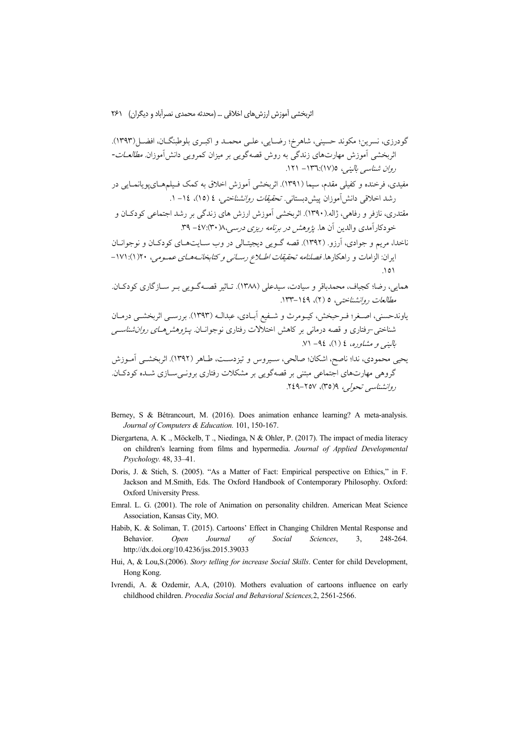- مفیدی، فرخنده و کفیلی مقدم، سیما (۱۳۹۱). اثربخشی آموزش اخلاق به کمک فـیلمهـایپویانمـایی در رشد اخلاقی دانش آموزان پیش دبستانی. *تحقیقات روانشناختی، ٤ (١٥)، ١٤- ١*.
- مقتدری، نازفر و رفاهی، ژاله.(۱۳۹۰). اثربخشی آموزش ارزش های زندگی بر رشد اجتماعی کودکـان و خودکارآمدی والدین آن ها. *یژوهش در برنامه ریزی درسه ۸*۰/ ۴۰):۴۷- ۳۹.
- ناخدا، مریم و جوادی، آرزو. (۱۳۹۲). قصه گـویی دیجیتـالی در وب سـایتهـای کودکـان و نوجوانـان ایران: الزامات و راهکارها. *فصلنامه تحقیقات اطـلاع رسـانبی و کتابخانــههــای عمــومی*، ۱۷۱:(۱):۱۷۱-
- همايي، رضا؛ كجباف، محمدباقر و سيادت، سيدعلي (١٣٨٨). تـاثير قصـهگـويي بـر سـازگاري كودكـان. مطالعات روانشناختبی، ٥ (٢)، ١٤٩-١٣٣.

<sub>ی</sub> محمودی، ندا؛ ناصح، اشکان؛ صالحی، سـیروس و تیزدسـت، طــاهر ۱۱۰۱۱. اىربحســی امـورس<br>گروهی مهارتـهای اجتماعی مبتنی بر قصهگویی بر مشکلات رفتاری برونــیســازی شــده کودکــان. روانشناسي تحولي، ٩(٣٥)، ٢٥٧-٢٤٩.

- Berney, S & Bétrancourt, M. (2016). Does animation enhance learning? A meta-analysis. Journal of Computers & Education. 101, 150-167.
- Diergartena, A. K., Möckelb, T., Niedinga, N & Ohler, P. (2017). The impact of media literacy on children's learning from films and hypermedia. Journal of Applied Developmental Psychology. 48, 33-41.
- Doris, J. & Stich, S. (2005). "As a Matter of Fact: Empirical perspective on Ethics," in F. Jackson and M.Smith, Eds. The Oxford Handbook of Contemporary Philosophy. Oxford: Oxford University Press.
- Emral. L. G. (2001). The role of Animation on personality children. American Meat Science Association, Kansas City, MO.
- Habib, K. & Soliman, T. (2015). Cartoons' Effect in Changing Children Mental Response and Behavior. Open Journal  $\int$ Social Sciences.  $\mathcal{E}$ 248-264. http://dx.doi.org/10.4236/jss.2015.39033
- Hui, A, & Lou, S. (2006). Story telling for increase Social Skills. Center for child Development, Hong Kong.
- Ivrendi, A. & Ozdemir, A.A. (2010). Mothers evaluation of cartoons influence on early childhood children. Procedia Social and Behavioral Sciences, 2, 2561-2566.